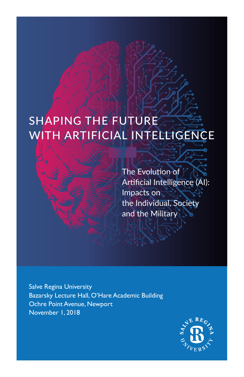# SHAPING THE FUTURE WITH ARTIFICIAL INTELLIGENCE

The Evolution of Artificial Intelligence (AI): Impacts on the Individual, Society and the Military

Salve Regina University Bazarsky Lecture Hall, O'Hare Academic Building Ochre Point Avenue, Newport November 1, 2018

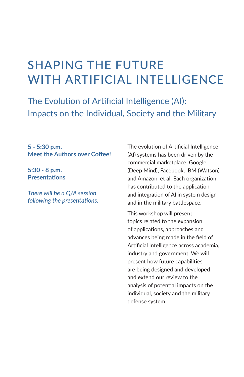## SHAPING THE FUTURE WITH ARTIFICIAL INTELLIGENCE

The Evolution of Artificial Intelligence (AI): Impacts on the Individual, Society and the Military

**5 - 5:30 p.m. Meet the Authors over Coffee!** 

**5:30 - 8 p.m. Presentations** 

*There will be a Q/A session following the presentations.*  The evolution of Artificial Intelligence (AI) systems has been driven by the commercial marketplace. Google (Deep Mind), Facebook, IBM (Watson) and Amazon, et al. Each organization has contributed to the application and integration of AI in system design and in the military battlespace.

This workshop will present topics related to the expansion of applications, approaches and advances being made in the field of Artificial Intelligence across academia, industry and government. We will present how future capabilities are being designed and developed and extend our review to the analysis of potential impacts on the individual, society and the military defense system.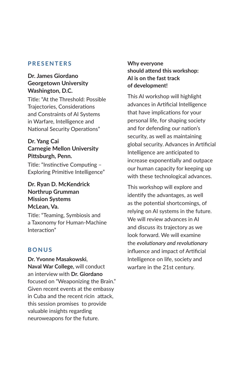#### **PRESENTERS**

#### **Dr. James Giordano Georgetown University Washington, D.C.**

Title: "At the Threshold: Possible Trajectories, Considerations and Constraints of AI Systems in Warfare, Intelligence and National Security Operations"

#### **Dr. Yang Cai Carnegie Mellon University Pittsburgh, Penn.**

Title: "Instinctive Computing – Exploring Primitive Intelligence"

#### **Dr. Ryan D. McKendrick Northrup Grumman Mission Systems McLean, Va.**

Title: "Teaming, Symbiosis and a Taxonomy for Human-Machine Interaction"

#### **BONUS**

**Dr. Yvonne Masakowski**, **Naval War College,** will conduct an interview with **Dr. Giordano** focused on "Weaponizing the Brain." Given recent events at the embassy in Cuba and the recent ricin attack, this session promises to provide valuable insights regarding neuroweapons for the future.

**Why everyone should attend this workshop: AI is on the fast track of development!** 

This AI workshop will highlight advances in Artificial Intelligence that have implications for your personal life, for shaping society and for defending our nation's security, as well as maintaining global security. Advances in Artificial Intelligence are anticipated to increase exponentially and outpace our human capacity for keeping up with these technological advances.

This workshop will explore and identify the advantages, as well as the potential shortcomings, of relying on AI systems in the future. We will review advances in AI and discuss its trajectory as we look forward. We will examine the *evolutionary and revolutionary* influence and impact of Artificial Intelligence on life, society and warfare in the 21st century.